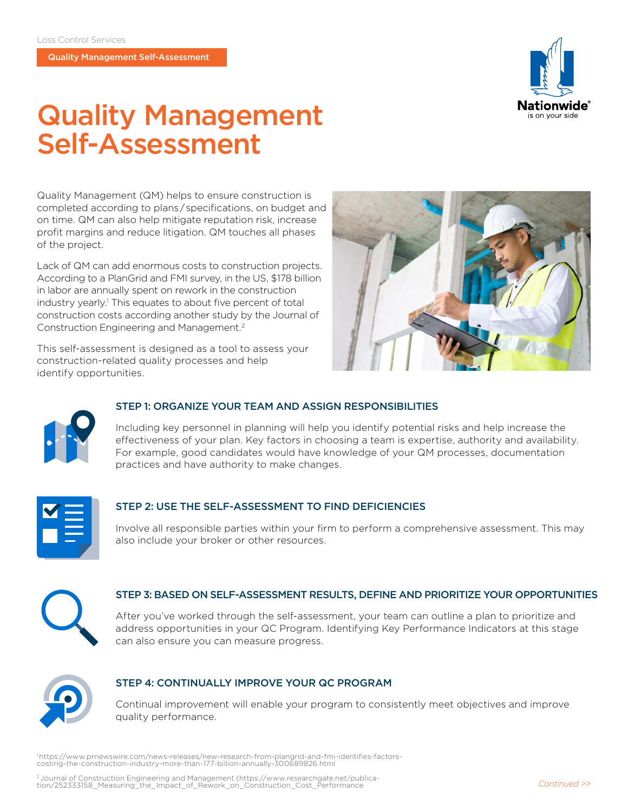Quality Management Self-Assessment



# Quality Management Self-Assessment

Quality Management (QM) helps to ensure construction is completed according to plans / specifications, on budget and on time. QM can also help mitigate reputation risk, increase profit margins and reduce litigation. QM touches all phases of the project.

Lack of QM can add enormous costs to construction projects. According to a PlanGrid and FMI survey, in the US, \$178 billion in labor are annually spent on rework in the construction industry yearly.<sup>1</sup> This equates to about five percent of total construction costs according another study by the Journal of Construction Engineering and Management.2

This self-assessment is designed as a tool to assess your construction-related quality processes and help identify opportunities.





#### STEP 1: ORGANIZE YOUR TEAM AND ASSIGN RESPONSIBILITIES

 Including key personnel in planning will help you identify potential risks and help increase the effectiveness of your plan. Key factors in choosing a team is expertise, authority and availability. For example, good candidates would have knowledge of your QM processes, documentation practices and have authority to make changes.



#### STEP 2: USE THE SELF-ASSESSMENT TO FIND DEFICIENCIES

 Involve all responsible parties within your firm to perform a comprehensive assessment. This may also include your broker or other resources.



#### STEP 3: BASED ON SELF-ASSESSMENT RESULTS, DEFINE AND PRIORITIZE YOUR OPPORTUNITIES

 After you've worked through the self-assessment, your team can outline a plan to prioritize and address opportunities in your QC Program. Identifying Key Performance Indicators at this stage can also ensure you can measure progress.



#### STEP 4: CONTINUALLY IMPROVE YOUR QC PROGRAM

 Continual improvement will enable your program to consistently meet objectives and improve quality performance.

1  https://www.prnewswire.com/news-releases/new-research-from-plangrid-and-fmi-identifies-factorscosting-the-construction-industry-more-than-177-billion-annually-300689826.html

2 Journal of Construction Engineering and Management (https://www.researchgate.net/publica- tion/252333158\_Measuring\_the\_Impact\_of\_Rework\_on\_Construction\_Cost\_Performance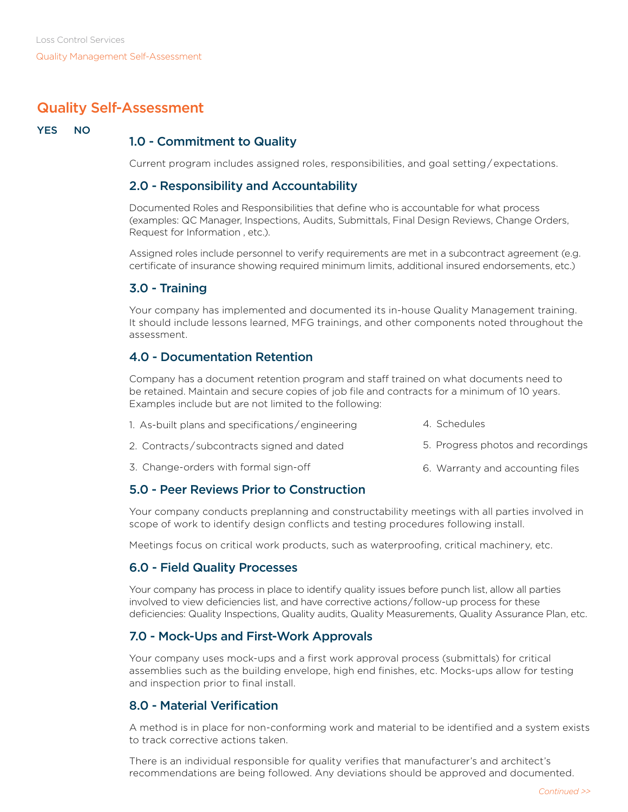# Quality Self-Assessment

#### YES NO

# 1.0 - Commitment to Quality

Current program includes assigned roles, responsibilities, and goal setting / expectations.

#### 2.0 - Responsibility and Accountability

Documented Roles and Responsibilities that define who is accountable for what process (examples: QC Manager, Inspections, Audits, Submittals, Final Design Reviews, Change Orders, Request for Information , etc.).

Assigned roles include personnel to verify requirements are met in a subcontract agreement (e.g. certificate of insurance showing required minimum limits, additional insured endorsements, etc.)

## 3.0 - Training

Your company has implemented and documented its in-house Quality Management training. It should include lessons learned, MFG trainings, and other components noted throughout the assessment.

## 4.0 - Documentation Retention

Company has a document retention program and staff trained on what documents need to be retained. Maintain and secure copies of job file and contracts for a minimum of 10 years. Examples include but are not limited to the following:

| 1. As-built plans and specifications/engineering | 4. Schedules                      |  |
|--------------------------------------------------|-----------------------------------|--|
| 2. Contracts/subcontracts signed and dated       | 5. Progress photos and recordings |  |
| 3. Change-orders with formal sign-off            | 6. Warranty and accounting files  |  |

## 5.0 - Peer Reviews Prior to Construction

Your company conducts preplanning and constructability meetings with all parties involved in scope of work to identify design conflicts and testing procedures following install.

Meetings focus on critical work products, such as waterproofing, critical machinery, etc.

## 6.0 - Field Quality Processes

Your company has process in place to identify quality issues before punch list, allow all parties involved to view deficiencies list, and have corrective actions / follow-up process for these deficiencies: Quality Inspections, Quality audits, Quality Measurements, Quality Assurance Plan, etc.

## 7.0 - Mock-Ups and First-Work Approvals

Your company uses mock-ups and a first work approval process (submittals) for critical assemblies such as the building envelope, high end finishes, etc. Mocks-ups allow for testing and inspection prior to final install.

## 8.0 - Material Verification

A method is in place for non-conforming work and material to be identified and a system exists to track corrective actions taken.

There is an individual responsible for quality verifies that manufacturer's and architect's recommendations are being followed. Any deviations should be approved and documented.